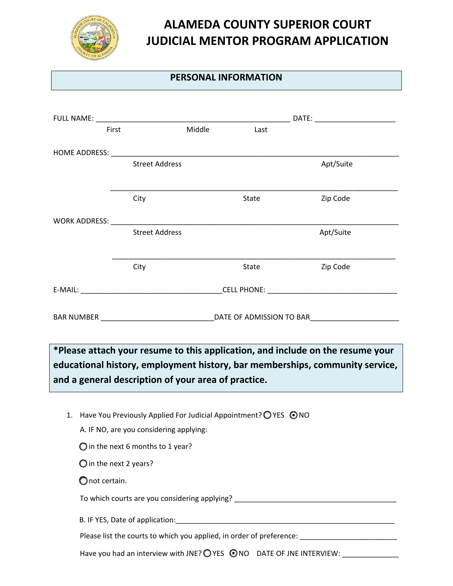

## **ALAMEDA COUNTY SUPERIOR COURT JUDICIAL MENTOR PROGRAM APPLICATION**

## **PERSONAL INFORMATION**

| First                           | FULL NAME: WARD AND A CONTROL AND A CONTROL CONTROL CONTROL CONTROL CONTROL CONTROL CONTROL CONTROL CONTROL CONTROL CONTROL CONTROL CONTROL CONTROL CONTROL CONTROL CONTROL CONTROL CONTROL CONTROL CONTROL CONTROL CONTROL CO<br>Middle | Last  | <b>DATE: DATE: DATE: Property</b>                                                 |  |  |  |
|---------------------------------|------------------------------------------------------------------------------------------------------------------------------------------------------------------------------------------------------------------------------------------|-------|-----------------------------------------------------------------------------------|--|--|--|
|                                 |                                                                                                                                                                                                                                          |       |                                                                                   |  |  |  |
|                                 | <b>Street Address</b>                                                                                                                                                                                                                    |       |                                                                                   |  |  |  |
|                                 |                                                                                                                                                                                                                                          |       | Apt/Suite                                                                         |  |  |  |
|                                 | City                                                                                                                                                                                                                                     | State | Zip Code                                                                          |  |  |  |
|                                 |                                                                                                                                                                                                                                          |       |                                                                                   |  |  |  |
|                                 | <b>Street Address</b>                                                                                                                                                                                                                    |       | Apt/Suite                                                                         |  |  |  |
|                                 |                                                                                                                                                                                                                                          |       |                                                                                   |  |  |  |
|                                 | City                                                                                                                                                                                                                                     | State | Zip Code                                                                          |  |  |  |
|                                 |                                                                                                                                                                                                                                          |       |                                                                                   |  |  |  |
|                                 |                                                                                                                                                                                                                                          |       |                                                                                   |  |  |  |
|                                 |                                                                                                                                                                                                                                          |       |                                                                                   |  |  |  |
|                                 |                                                                                                                                                                                                                                          |       |                                                                                   |  |  |  |
|                                 |                                                                                                                                                                                                                                          |       | *Please attach your resume to this application, and include on the resume your    |  |  |  |
|                                 |                                                                                                                                                                                                                                          |       | educational history, employment history, bar memberships, community service,      |  |  |  |
|                                 | and a general description of your area of practice.                                                                                                                                                                                      |       |                                                                                   |  |  |  |
|                                 |                                                                                                                                                                                                                                          |       |                                                                                   |  |  |  |
|                                 | 1. Have You Previously Applied For Judicial Appointment? OYES ⊙ NO                                                                                                                                                                       |       |                                                                                   |  |  |  |
|                                 | A. IF NO, are you considering applying:                                                                                                                                                                                                  |       |                                                                                   |  |  |  |
|                                 | $\bigcirc$ in the next 6 months to 1 year?                                                                                                                                                                                               |       |                                                                                   |  |  |  |
| $\bigcirc$ in the next 2 years? |                                                                                                                                                                                                                                          |       |                                                                                   |  |  |  |
| $\bigcirc$ not certain.         |                                                                                                                                                                                                                                          |       |                                                                                   |  |  |  |
|                                 |                                                                                                                                                                                                                                          |       | To which courts are you considering applying? ___________________________________ |  |  |  |
|                                 |                                                                                                                                                                                                                                          |       |                                                                                   |  |  |  |
|                                 |                                                                                                                                                                                                                                          |       | Please list the courts to which you applied, in order of preference:              |  |  |  |
|                                 | Have you had an interview with JNE? O YES ONO DATE OF JNE INTERVIEW:                                                                                                                                                                     |       |                                                                                   |  |  |  |